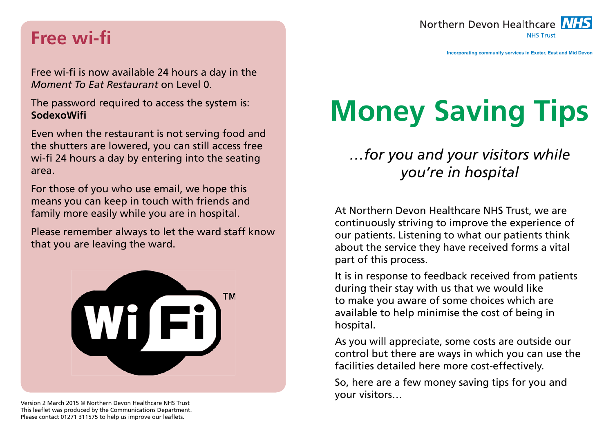#### Northern Devon Healthcare NHS **NHS Trust**

## **Free wi-fi**

Free wi-fi is now available 24 hours a day in the *Moment To Eat Restaurant* on Level 0.

The password required to access the system is: **SodexoWifi** 

Even when the restaurant is not serving food and the shutters are lowered, you can still access free wi-fi 24 hours a day by entering into the seating area.

For those of you who use email, we hope this means you can keep in touch with friends and family more easily while you are in hospital.

Please remember always to let the ward staff know that you are leaving the ward.



Version 2 March 2015 © Northern Devon Healthcare NHS Trust This leaflet was produced by the Communications Department. Please contact 01271 311575 to help us improve our leaflets.

# **Money Saving Tips**

## *…for you and your visitors while you're in hospital*

At Northern Devon Healthcare NHS Trust, we are continuously striving to improve the experience of our patients. Listening to what our patients think about the service they have received forms a vital part of this process.

It is in response to feedback received from patients during their stay with us that we would like to make you aware of some choices which are available to help minimise the cost of being in hospital.

As you will appreciate, some costs are outside our control but there are ways in which you can use the facilities detailed here more cost-effectively.

So, here are a few money saving tips for you and your visitors…